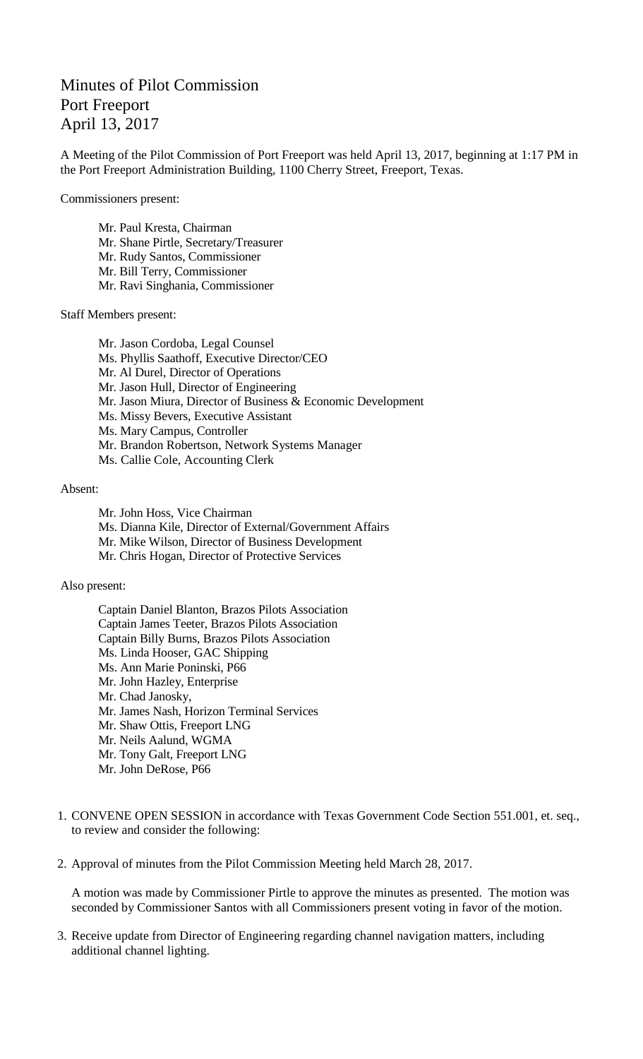## Minutes of Pilot Commission Port Freeport April 13, 2017

A Meeting of the Pilot Commission of Port Freeport was held April 13, 2017, beginning at 1:17 PM in the Port Freeport Administration Building, 1100 Cherry Street, Freeport, Texas.

Commissioners present:

Mr. Paul Kresta, Chairman Mr. Shane Pirtle, Secretary/Treasurer Mr. Rudy Santos, Commissioner Mr. Bill Terry, Commissioner Mr. Ravi Singhania, Commissioner

Staff Members present:

Mr. Jason Cordoba, Legal Counsel Ms. Phyllis Saathoff, Executive Director/CEO Mr. Al Durel, Director of Operations Mr. Jason Hull, Director of Engineering Mr. Jason Miura, Director of Business & Economic Development Ms. Missy Bevers, Executive Assistant Ms. Mary Campus, Controller Mr. Brandon Robertson, Network Systems Manager Ms. Callie Cole, Accounting Clerk

## Absent:

Mr. John Hoss, Vice Chairman Ms. Dianna Kile, Director of External/Government Affairs Mr. Mike Wilson, Director of Business Development Mr. Chris Hogan, Director of Protective Services

## Also present:

Captain Daniel Blanton, Brazos Pilots Association Captain James Teeter, Brazos Pilots Association Captain Billy Burns, Brazos Pilots Association Ms. Linda Hooser, GAC Shipping Ms. Ann Marie Poninski, P66 Mr. John Hazley, Enterprise Mr. Chad Janosky, Mr. James Nash, Horizon Terminal Services Mr. Shaw Ottis, Freeport LNG Mr. Neils Aalund, WGMA Mr. Tony Galt, Freeport LNG Mr. John DeRose, P66

- 1. CONVENE OPEN SESSION in accordance with Texas Government Code Section 551.001, et. seq., to review and consider the following:
- 2. Approval of minutes from the Pilot Commission Meeting held March 28, 2017.

A motion was made by Commissioner Pirtle to approve the minutes as presented. The motion was seconded by Commissioner Santos with all Commissioners present voting in favor of the motion.

3. Receive update from Director of Engineering regarding channel navigation matters, including additional channel lighting.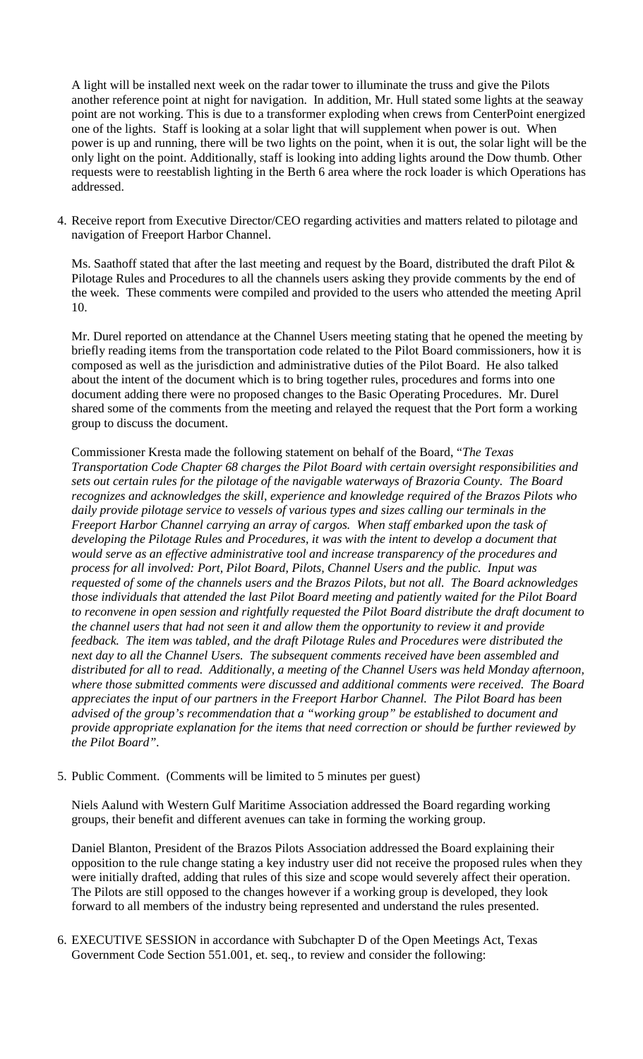A light will be installed next week on the radar tower to illuminate the truss and give the Pilots another reference point at night for navigation. In addition, Mr. Hull stated some lights at the seaway point are not working. This is due to a transformer exploding when crews from CenterPoint energized one of the lights. Staff is looking at a solar light that will supplement when power is out. When power is up and running, there will be two lights on the point, when it is out, the solar light will be the only light on the point. Additionally, staff is looking into adding lights around the Dow thumb. Other requests were to reestablish lighting in the Berth 6 area where the rock loader is which Operations has addressed.

4. Receive report from Executive Director/CEO regarding activities and matters related to pilotage and navigation of Freeport Harbor Channel.

Ms. Saathoff stated that after the last meeting and request by the Board, distributed the draft Pilot & Pilotage Rules and Procedures to all the channels users asking they provide comments by the end of the week. These comments were compiled and provided to the users who attended the meeting April 10.

Mr. Durel reported on attendance at the Channel Users meeting stating that he opened the meeting by briefly reading items from the transportation code related to the Pilot Board commissioners, how it is composed as well as the jurisdiction and administrative duties of the Pilot Board. He also talked about the intent of the document which is to bring together rules, procedures and forms into one document adding there were no proposed changes to the Basic Operating Procedures. Mr. Durel shared some of the comments from the meeting and relayed the request that the Port form a working group to discuss the document.

Commissioner Kresta made the following statement on behalf of the Board, "*The Texas Transportation Code Chapter 68 charges the Pilot Board with certain oversight responsibilities and sets out certain rules for the pilotage of the navigable waterways of Brazoria County. The Board recognizes and acknowledges the skill, experience and knowledge required of the Brazos Pilots who daily provide pilotage service to vessels of various types and sizes calling our terminals in the Freeport Harbor Channel carrying an array of cargos. When staff embarked upon the task of developing the Pilotage Rules and Procedures, it was with the intent to develop a document that would serve as an effective administrative tool and increase transparency of the procedures and process for all involved: Port, Pilot Board, Pilots, Channel Users and the public. Input was requested of some of the channels users and the Brazos Pilots, but not all. The Board acknowledges those individuals that attended the last Pilot Board meeting and patiently waited for the Pilot Board to reconvene in open session and rightfully requested the Pilot Board distribute the draft document to the channel users that had not seen it and allow them the opportunity to review it and provide feedback. The item was tabled, and the draft Pilotage Rules and Procedures were distributed the next day to all the Channel Users. The subsequent comments received have been assembled and distributed for all to read. Additionally, a meeting of the Channel Users was held Monday afternoon, where those submitted comments were discussed and additional comments were received. The Board appreciates the input of our partners in the Freeport Harbor Channel. The Pilot Board has been advised of the group's recommendation that a "working group" be established to document and provide appropriate explanation for the items that need correction or should be further reviewed by the Pilot Board".*

5. Public Comment. (Comments will be limited to 5 minutes per guest)

Niels Aalund with Western Gulf Maritime Association addressed the Board regarding working groups, their benefit and different avenues can take in forming the working group.

Daniel Blanton, President of the Brazos Pilots Association addressed the Board explaining their opposition to the rule change stating a key industry user did not receive the proposed rules when they were initially drafted, adding that rules of this size and scope would severely affect their operation. The Pilots are still opposed to the changes however if a working group is developed, they look forward to all members of the industry being represented and understand the rules presented.

6. EXECUTIVE SESSION in accordance with Subchapter D of the Open Meetings Act, Texas Government Code Section 551.001, et. seq., to review and consider the following: